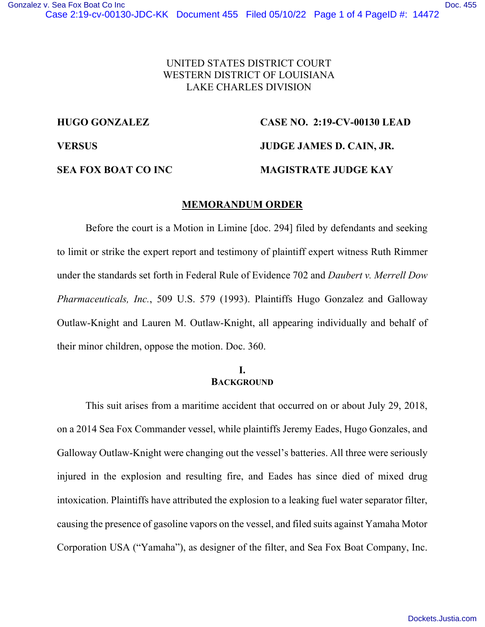# UNITED STATES DISTRICT COURT WESTERN DISTRICT OF LOUISIANA LAKE CHARLES DIVISION

# **HUGO GONZALEZ CASE NO. 2:19-CV-00130 LEAD**

**VERSUS JUDGE JAMES D. CAIN, JR.** 

#### **SEA FOX BOAT CO INC MAGISTRATE JUDGE KAY**

### **MEMORANDUM ORDER**

Before the court is a Motion in Limine [doc. 294] filed by defendants and seeking to limit or strike the expert report and testimony of plaintiff expert witness Ruth Rimmer under the standards set forth in Federal Rule of Evidence 702 and *Daubert v. Merrell Dow Pharmaceuticals, Inc.*, 509 U.S. 579 (1993). Plaintiffs Hugo Gonzalez and Galloway Outlaw-Knight and Lauren M. Outlaw-Knight, all appearing individually and behalf of their minor children, oppose the motion. Doc. 360.

### **I. BACKGROUND**

This suit arises from a maritime accident that occurred on or about July 29, 2018, on a 2014 Sea Fox Commander vessel, while plaintiffs Jeremy Eades, Hugo Gonzales, and Galloway Outlaw-Knight were changing out the vessel's batteries. All three were seriously injured in the explosion and resulting fire, and Eades has since died of mixed drug intoxication. Plaintiffs have attributed the explosion to a leaking fuel water separator filter, causing the presence of gasoline vapors on the vessel, and filed suits against Yamaha Motor Corporation USA ("Yamaha"), as designer of the filter, and Sea Fox Boat Company, Inc.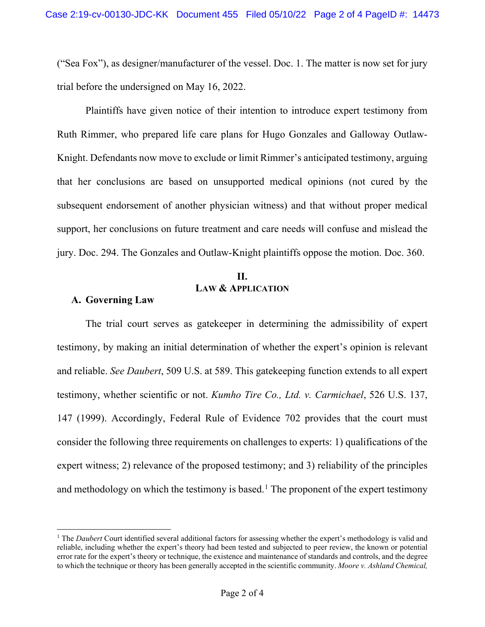("Sea Fox"), as designer/manufacturer of the vessel. Doc. 1. The matter is now set for jury trial before the undersigned on May 16, 2022.

Plaintiffs have given notice of their intention to introduce expert testimony from Ruth Rimmer, who prepared life care plans for Hugo Gonzales and Galloway Outlaw-Knight. Defendants now move to exclude or limit Rimmer's anticipated testimony, arguing that her conclusions are based on unsupported medical opinions (not cured by the subsequent endorsement of another physician witness) and that without proper medical support, her conclusions on future treatment and care needs will confuse and mislead the jury. Doc. 294. The Gonzales and Outlaw-Knight plaintiffs oppose the motion. Doc. 360.

# **II. LAW & APPLICATION**

# **A. Governing Law**

The trial court serves as gatekeeper in determining the admissibility of expert testimony, by making an initial determination of whether the expert's opinion is relevant and reliable. *See Daubert*, 509 U.S. at 589. This gatekeeping function extends to all expert testimony, whether scientific or not. *Kumho Tire Co., Ltd. v. Carmichael*, 526 U.S. 137, 147 (1999). Accordingly, Federal Rule of Evidence 702 provides that the court must consider the following three requirements on challenges to experts: 1) qualifications of the expert witness; 2) relevance of the proposed testimony; and 3) reliability of the principles and methodology on which the testimony is based.<sup>1</sup> The proponent of the expert testimony

<sup>&</sup>lt;sup>1</sup> The *Daubert* Court identified several additional factors for assessing whether the expert's methodology is valid and reliable, including whether the expert's theory had been tested and subjected to peer review, the known or potential error rate for the expert's theory or technique, the existence and maintenance of standards and controls, and the degree to which the technique or theory has been generally accepted in the scientific community. *Moore v. Ashland Chemical,*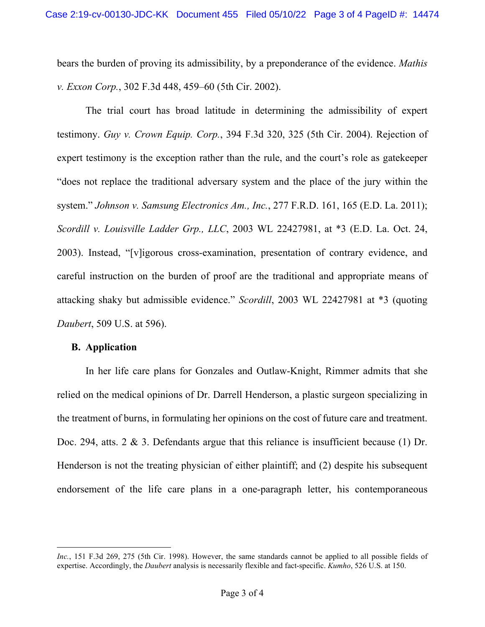bears the burden of proving its admissibility, by a preponderance of the evidence. *Mathis v. Exxon Corp.*, 302 F.3d 448, 459–60 (5th Cir. 2002).

The trial court has broad latitude in determining the admissibility of expert testimony. *Guy v. Crown Equip. Corp.*, 394 F.3d 320, 325 (5th Cir. 2004). Rejection of expert testimony is the exception rather than the rule, and the court's role as gatekeeper "does not replace the traditional adversary system and the place of the jury within the system." *Johnson v. Samsung Electronics Am., Inc.*, 277 F.R.D. 161, 165 (E.D. La. 2011); *Scordill v. Louisville Ladder Grp., LLC*, 2003 WL 22427981, at \*3 (E.D. La. Oct. 24, 2003). Instead, "[v]igorous cross-examination, presentation of contrary evidence, and careful instruction on the burden of proof are the traditional and appropriate means of attacking shaky but admissible evidence." *Scordill*, 2003 WL 22427981 at \*3 (quoting *Daubert*, 509 U.S. at 596).

## **B. Application**

In her life care plans for Gonzales and Outlaw-Knight, Rimmer admits that she relied on the medical opinions of Dr. Darrell Henderson, a plastic surgeon specializing in the treatment of burns, in formulating her opinions on the cost of future care and treatment. Doc. 294, atts. 2 & 3. Defendants argue that this reliance is insufficient because (1) Dr. Henderson is not the treating physician of either plaintiff; and (2) despite his subsequent endorsement of the life care plans in a one-paragraph letter, his contemporaneous

*Inc.*, 151 F.3d 269, 275 (5th Cir. 1998). However, the same standards cannot be applied to all possible fields of expertise. Accordingly, the *Daubert* analysis is necessarily flexible and fact-specific. *Kumho*, 526 U.S. at 150.